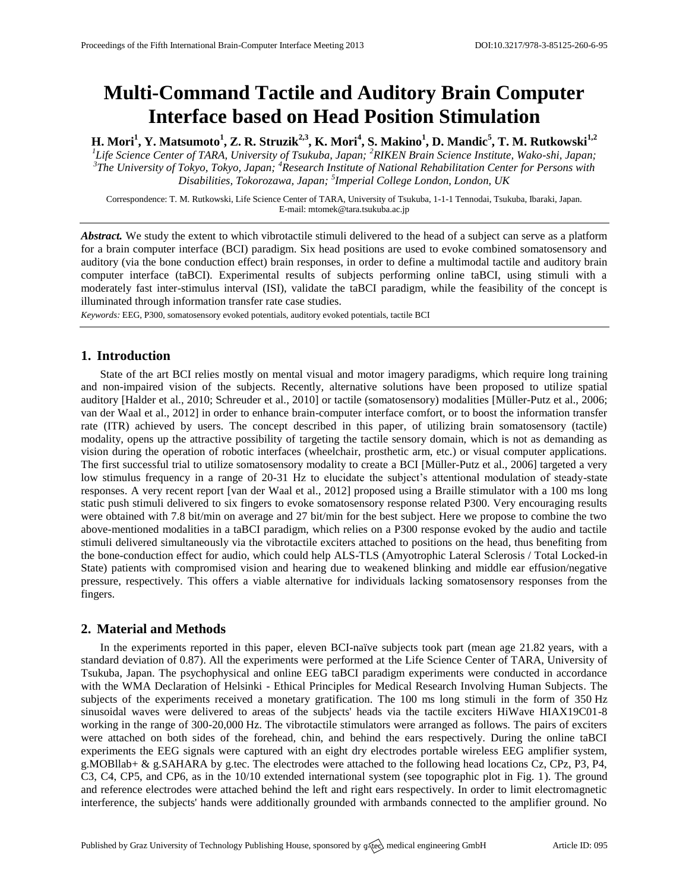# **Multi-Command Tactile and Auditory Brain Computer Interface based on Head Position Stimulation**

**H. Mori<sup>1</sup> , Y. Matsumoto<sup>1</sup> , Z. R. Struzik2,3, K. Mori<sup>4</sup> , S. Makino<sup>1</sup> , D. Mandic<sup>5</sup> , T. M. Rutkowski1,2** *1 Life Science Center of TARA, University of Tsukuba, Japan; <sup>2</sup>RIKEN Brain Science Institute, Wako-shi, Japan; 3 The University of Tokyo, Tokyo, Japan; <sup>4</sup>Research Institute of National Rehabilitation Center for Persons with Disabilities, Tokorozawa, Japan; <sup>5</sup> Imperial College London, London, UK*

Correspondence: T. M. Rutkowski, Life Science Center of TARA, University of Tsukuba, 1-1-1 Tennodai, Tsukuba, Ibaraki, Japan. E-mail[: mtomek@tara.tsukuba.ac.jp](mailto:mtomek@tara.tsukuba.ac.jp)

*Abstract.* We study the extent to which vibrotactile stimuli delivered to the head of a subject can serve as a platform for a brain computer interface (BCI) paradigm. Six head positions are used to evoke combined somatosensory and auditory (via the bone conduction effect) brain responses, in order to define a multimodal tactile and auditory brain computer interface (taBCI). Experimental results of subjects performing online taBCI, using stimuli with a moderately fast inter-stimulus interval (ISI), validate the taBCI paradigm, while the feasibility of the concept is illuminated through information transfer rate case studies.

*Keywords:* EEG, P300, somatosensory evoked potentials, auditory evoked potentials, tactile BCI

## **1. Introduction**

State of the art BCI relies mostly on mental visual and motor imagery paradigms, which require long training and non-impaired vision of the subjects. Recently, alternative solutions have been proposed to utilize spatial auditory [Halder et al., 2010; Schreuder et al., 2010] or tactile (somatosensory) modalities [Müller-Putz et al., 2006; van der Waal et al., 2012] in order to enhance brain-computer interface comfort, or to boost the information transfer rate (ITR) achieved by users. The concept described in this paper, of utilizing brain somatosensory (tactile) modality, opens up the attractive possibility of targeting the tactile sensory domain, which is not as demanding as vision during the operation of robotic interfaces (wheelchair, prosthetic arm, etc.) or visual computer applications. The first successful trial to utilize somatosensory modality to create a BCI [Müller-Putz et al., 2006] targeted a very low stimulus frequency in a range of 20-31 Hz to elucidate the subject's attentional modulation of steady-state responses. A very recent report [van der Waal et al., 2012] proposed using a Braille stimulator with a 100 ms long static push stimuli delivered to six fingers to evoke somatosensory response related P300. Very encouraging results were obtained with 7.8 bit/min on average and 27 bit/min for the best subject. Here we propose to combine the two above-mentioned modalities in a taBCI paradigm, which relies on a P300 response evoked by the audio and tactile stimuli delivered simultaneously via the vibrotactile exciters attached to positions on the head, thus benefiting from the bone-conduction effect for audio, which could help ALS-TLS (Amyotrophic Lateral Sclerosis / Total Locked-in State) patients with compromised vision and hearing due to weakened blinking and middle ear effusion/negative pressure, respectively. This offers a viable alternative for individuals lacking somatosensory responses from the fingers.

### **2. Material and Methods**

In the experiments reported in this paper, eleven BCI-naïve subjects took part (mean age 21.82 years, with a standard deviation of 0.87). All the experiments were performed at the Life Science Center of TARA, University of Tsukuba, Japan. The psychophysical and online EEG taBCI paradigm experiments were conducted in accordance with the WMA Declaration of Helsinki - Ethical Principles for Medical Research Involving Human Subjects. The subjects of the experiments received a monetary gratification. The 100 ms long stimuli in the form of 350 Hz sinusoidal waves were delivered to areas of the subjects' heads via the tactile exciters HiWave HIAX19C01-8 working in the range of 300-20,000 Hz. The vibrotactile stimulators were arranged as follows. The pairs of exciters were attached on both sides of the forehead, chin, and behind the ears respectively. During the online taBCI experiments the EEG signals were captured with an eight dry electrodes portable wireless EEG amplifier system, g.MOBllab+ & g.SAHARA by g.tec. The electrodes were attached to the following head locations Cz, CPz, P3, P4, C3, C4, CP5, and CP6, as in the 10/10 extended international system (see topographic plot in Fig. 1). The ground and reference electrodes were attached behind the left and right ears respectively. In order to limit electromagnetic interference, the subjects' hands were additionally grounded with armbands connected to the amplifier ground. No